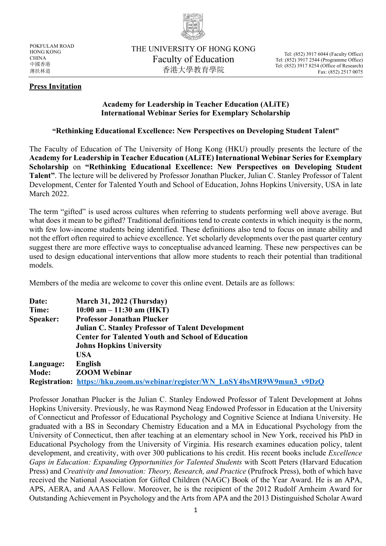

POKFULAM ROAD HONG KONG **CHINA** 中國香港 薄扶林道

THE UNIVERSITY OF HONG KONG Faculty of Education 香港大學教育學院

Tel: (852) 3917 6044 (Faculty Office) Tel: (852) 3917 2544 (Programme Office) Tel: (852) 3917 8254 (Office of Research) Fax: (852) 2517 0075

## **Press Invitation**

## **Academy for Leadership in Teacher Education (ALiTE) International Webinar Series for Exemplary Scholarship**

## **"Rethinking Educational Excellence: New Perspectives on Developing Student Talent"**

The Faculty of Education of The University of Hong Kong (HKU) proudly presents the lecture of the **Academy for Leadership in Teacher Education (ALiTE) International Webinar Series for Exemplary Scholarship** on **"Rethinking Educational Excellence: New Perspectives on Developing Student Talent"**. The lecture will be delivered by Professor Jonathan Plucker, Julian C. Stanley Professor of Talent Development, Center for Talented Youth and School of Education, Johns Hopkins University, USA in late March 2022.

The term "gifted" is used across cultures when referring to students performing well above average. But what does it mean to be gifted? Traditional definitions tend to create contexts in which inequity is the norm, with few low-income students being identified. These definitions also tend to focus on innate ability and not the effort often required to achieve excellence. Yet scholarly developments over the past quarter century suggest there are more effective ways to conceptualise advanced learning. These new perspectives can be used to design educational interventions that allow more students to reach their potential than traditional models.

Members of the media are welcome to cover this online event. Details are as follows:

| Date:     | March 31, 2022 (Thursday)                                                           |
|-----------|-------------------------------------------------------------------------------------|
| Time:     | 10:00 am $- 11:30$ am (HKT)                                                         |
| Speaker:  | <b>Professor Jonathan Plucker</b>                                                   |
|           | <b>Julian C. Stanley Professor of Talent Development</b>                            |
|           | <b>Center for Talented Youth and School of Education</b>                            |
|           | <b>Johns Hopkins University</b>                                                     |
|           | USA                                                                                 |
| Language: | English                                                                             |
| Mode:     | <b>ZOOM Webinar</b>                                                                 |
|           | <b>Registration: https://hku.zoom.us/webinar/register/WN LnSY4bsMR9W9mun3 v9DzQ</b> |

Professor Jonathan Plucker is the Julian C. Stanley Endowed Professor of Talent Development at Johns Hopkins University. Previously, he was Raymond Neag Endowed Professor in Education at the University of Connecticut and Professor of Educational Psychology and Cognitive Science at Indiana University. He graduated with a BS in Secondary Chemistry Education and a MA in Educational Psychology from the University of Connecticut, then after teaching at an elementary school in New York, received his PhD in Educational Psychology from the University of Virginia. His research examines education policy, talent development, and creativity, with over 300 publications to his credit. His recent books include *Excellence Gaps in Education: Expanding Opportunities for Talented Students* with Scott Peters (Harvard Education Press) and *Creativity and Innovation: Theory, Research, and Practice* (Prufrock Press), both of which have received the National Association for Gifted Children (NAGC) Book of the Year Award. He is an APA, APS, AERA, and AAAS Fellow. Moreover, he is the recipient of the 2012 Rudolf Arnheim Award for Outstanding Achievement in Psychology and the Arts from APA and the 2013 Distinguished Scholar Award